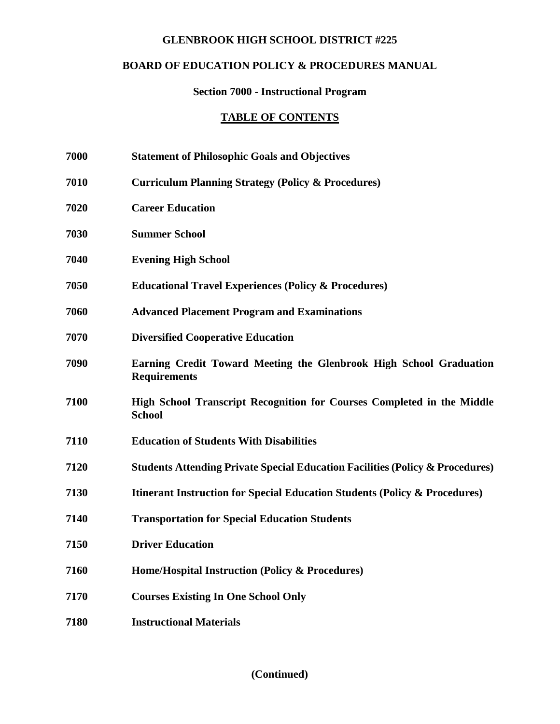## **GLENBROOK HIGH SCHOOL DISTRICT #225**

# **BOARD OF EDUCATION POLICY & PROCEDURES MANUAL**

#### **Section 7000 - Instructional Program**

#### **TABLE OF CONTENTS**

- **7000 Statement of Philosophic Goals and Objectives**
- **7010 Curriculum Planning Strategy (Policy & Procedures)**
- **7020 Career Education**
- **7030 Summer School**
- **7040 Evening High School**
- **7050 Educational Travel Experiences (Policy & Procedures)**
- **7060 Advanced Placement Program and Examinations**
- **7070 Diversified Cooperative Education**
- **7090 Earning Credit Toward Meeting the Glenbrook High School Graduation Requirements**
- **7100 High School Transcript Recognition for Courses Completed in the Middle School**
- **7110 Education of Students With Disabilities**
- **7120 Students Attending Private Special Education Facilities (Policy & Procedures)**
- **7130 Itinerant Instruction for Special Education Students (Policy & Procedures)**
- **7140 Transportation for Special Education Students**
- **7150 Driver Education**
- **7160 Home/Hospital Instruction (Policy & Procedures)**
- **7170 Courses Existing In One School Only**
- **7180 Instructional Materials**